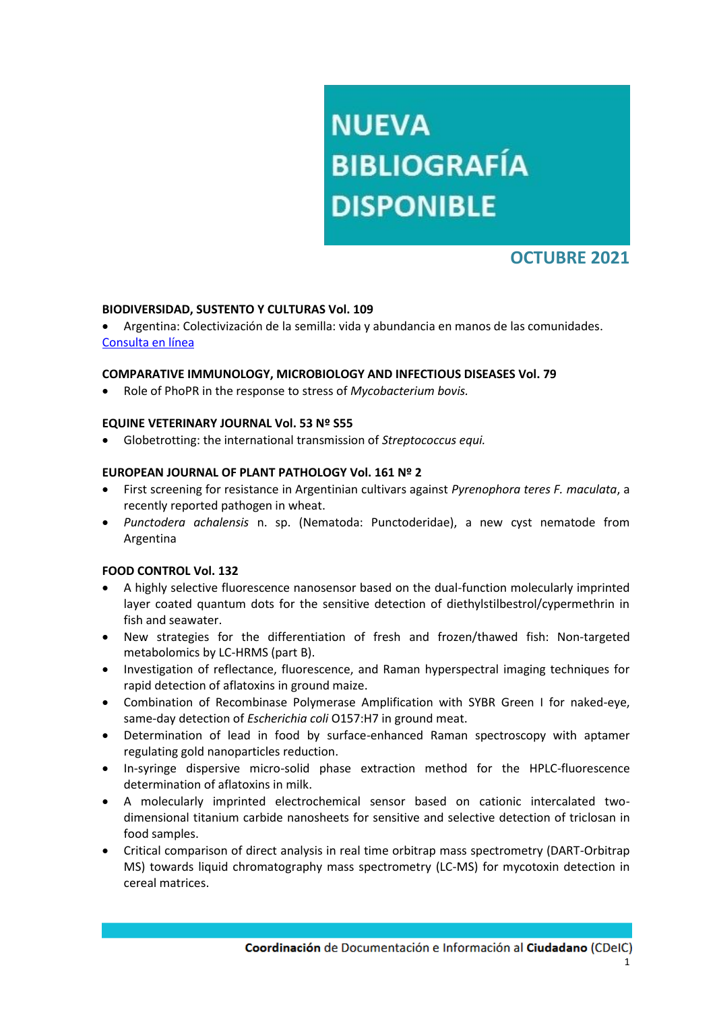# **NUEVA BIBLIOGRAFÍA DISPONIBLE**

# **OCTUBRE 2021**

# **BIODIVERSIDAD, SUSTENTO Y CULTURAS Vol. 109**

 Argentina: Colectivización de la semilla: vida y abundancia en manos de las comunidades. [Consulta en línea](https://www.biodiversidadla.org/Revista/109)

# **COMPARATIVE IMMUNOLOGY, MICROBIOLOGY AND INFECTIOUS DISEASES Vol. 79**

Role of PhoPR in the response to stress of *Mycobacterium bovis.*

#### **EQUINE VETERINARY JOURNAL Vol. 53 Nº S55**

Globetrotting: the international transmission of *Streptococcus equi.*

# **EUROPEAN JOURNAL OF PLANT PATHOLOGY Vol. 161 Nº 2**

- First screening for resistance in Argentinian cultivars against *Pyrenophora teres F. maculata*, a recently reported pathogen in wheat.
- *Punctodera achalensis* n. sp. (Nematoda: Punctoderidae), a new cyst nematode from Argentina

#### **FOOD CONTROL Vol. 132**

- A highly selective fluorescence nanosensor based on the dual-function molecularly imprinted layer coated quantum dots for the sensitive detection of diethylstilbestrol/cypermethrin in fish and seawater.
- New strategies for the differentiation of fresh and frozen/thawed fish: Non-targeted metabolomics by LC-HRMS (part B).
- Investigation of reflectance, fluorescence, and Raman hyperspectral imaging techniques for rapid detection of aflatoxins in ground maize.
- Combination of Recombinase Polymerase Amplification with SYBR Green I for naked-eye, same-day detection of *Escherichia coli* O157:H7 in ground meat.
- Determination of lead in food by surface-enhanced Raman spectroscopy with aptamer regulating gold nanoparticles reduction.
- In-syringe dispersive micro-solid phase extraction method for the HPLC-fluorescence determination of aflatoxins in milk.
- A molecularly imprinted electrochemical sensor based on cationic intercalated twodimensional titanium carbide nanosheets for sensitive and selective detection of triclosan in food samples.
- Critical comparison of direct analysis in real time orbitrap mass spectrometry (DART-Orbitrap MS) towards liquid chromatography mass spectrometry (LC-MS) for mycotoxin detection in cereal matrices.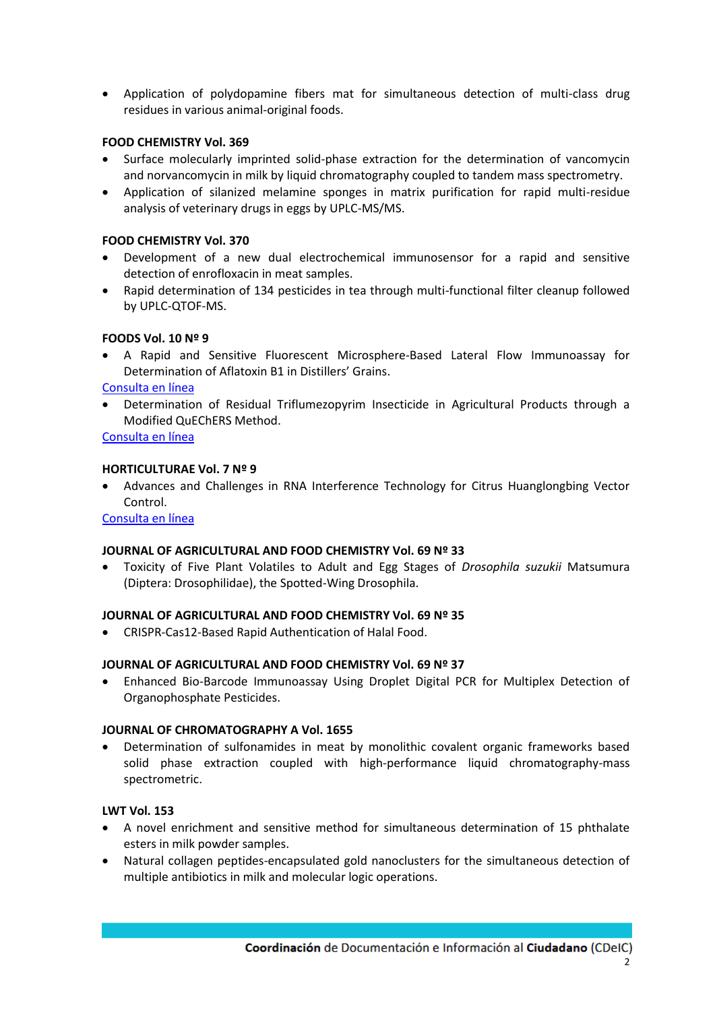Application of polydopamine fibers mat for simultaneous detection of multi-class drug residues in various animal-original foods.

# **FOOD CHEMISTRY Vol. 369**

- Surface molecularly imprinted solid-phase extraction for the determination of vancomycin and norvancomycin in milk by liquid chromatography coupled to tandem mass spectrometry.
- Application of silanized melamine sponges in matrix purification for rapid multi-residue analysis of veterinary drugs in eggs by UPLC-MS/MS.

# **FOOD CHEMISTRY Vol. 370**

- Development of a new dual electrochemical immunosensor for a rapid and sensitive detection of enrofloxacin in meat samples.
- Rapid determination of 134 pesticides in tea through multi-functional filter cleanup followed by UPLC-QTOF-MS.

# **FOODS Vol. 10 Nº 9**

 A Rapid and Sensitive Fluorescent Microsphere-Based Lateral Flow Immunoassay for Determination of Aflatoxin B1 in Distillers' Grains.

[Consulta en línea](https://www.mdpi.com/2304-8158/10/9/2109)

 Determination of Residual Triflumezopyrim Insecticide in Agricultural Products through a Modified QuEChERS Method.

[Consulta en línea](https://www.mdpi.com/2304-8158/10/9/2090)

# **HORTICULTURAE Vol. 7 Nº 9**

 Advances and Challenges in RNA Interference Technology for Citrus Huanglongbing Vector Control.

# [Consulta en línea](https://www.mdpi.com/2311-7524/7/9/277)

#### **JOURNAL OF AGRICULTURAL AND FOOD CHEMISTRY Vol. 69 Nº 33**

 Toxicity of Five Plant Volatiles to Adult and Egg Stages of *Drosophila suzukii* Matsumura (Diptera: Drosophilidae), the Spotted-Wing Drosophila.

#### **JOURNAL OF AGRICULTURAL AND FOOD CHEMISTRY Vol. 69 Nº 35**

CRISPR-Cas12-Based Rapid Authentication of Halal Food.

#### **JOURNAL OF AGRICULTURAL AND FOOD CHEMISTRY Vol. 69 Nº 37**

 Enhanced Bio-Barcode Immunoassay Using Droplet Digital PCR for Multiplex Detection of Organophosphate Pesticides.

#### **JOURNAL OF CHROMATOGRAPHY A Vol. 1655**

 Determination of sulfonamides in meat by monolithic covalent organic frameworks based solid phase extraction coupled with high-performance liquid chromatography-mass spectrometric.

# **LWT Vol. 153**

- A novel enrichment and sensitive method for simultaneous determination of 15 phthalate esters in milk powder samples.
- Natural collagen peptides-encapsulated gold nanoclusters for the simultaneous detection of multiple antibiotics in milk and molecular logic operations.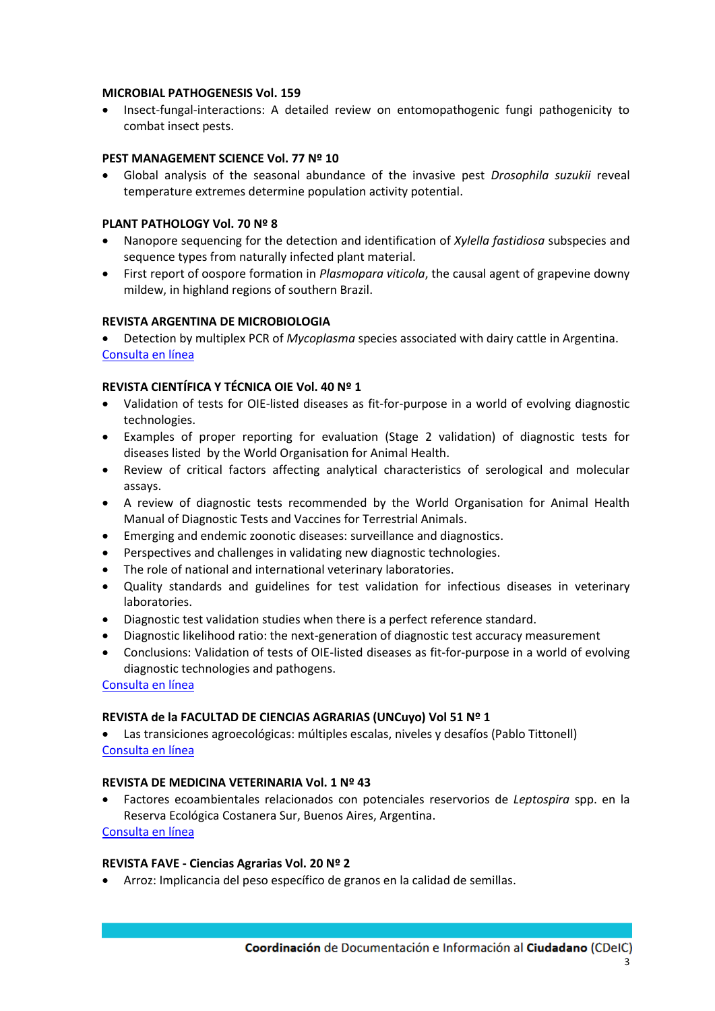#### **MICROBIAL PATHOGENESIS Vol. 159**

• Insect-fungal-interactions: A detailed review on entomopathogenic fungi pathogenicity to combat insect pests.

# **PEST MANAGEMENT SCIENCE Vol. 77 Nº 10**

 Global analysis of the seasonal abundance of the invasive pest *Drosophila suzukii* reveal temperature extremes determine population activity potential.

#### **PLANT PATHOLOGY Vol. 70 Nº 8**

- Nanopore sequencing for the detection and identification of *Xylella fastidiosa* subspecies and sequence types from naturally infected plant material.
- First report of oospore formation in *Plasmopara viticola*, the causal agent of grapevine downy mildew, in highland regions of southern Brazil.

# **REVISTA ARGENTINA DE MICROBIOLOGIA**

 Detection by multiplex PCR of *Mycoplasma* species associated with dairy cattle in Argentina. [Consulta en línea](https://www.elsevier.es/es-revista-revista-argentina-microbiologia-372-avance-resumen-detection-by-multiplex-pcr-mycoplasma-S0325754121000791)

# **REVISTA CIENTÍFICA Y TÉCNICA OIE Vol. 40 Nº 1**

- Validation of tests for OIE-listed diseases as fit-for-purpose in a world of evolving diagnostic technologies.
- Examples of proper reporting for evaluation (Stage 2 validation) of diagnostic tests for diseases listed by the World Organisation for Animal Health.
- Review of critical factors affecting analytical characteristics of serological and molecular assays.
- A review of diagnostic tests recommended by the World Organisation for Animal Health Manual of Diagnostic Tests and Vaccines for Terrestrial Animals.
- Emerging and endemic zoonotic diseases: surveillance and diagnostics.
- Perspectives and challenges in validating new diagnostic technologies.
- The role of national and international veterinary laboratories.
- Quality standards and guidelines for test validation for infectious diseases in veterinary laboratories.
- Diagnostic test validation studies when there is a perfect reference standard.
- Diagnostic likelihood ratio: the next-generation of diagnostic test accuracy measurement
- Conclusions: Validation of tests of OIE-listed diseases as fit-for-purpose in a world of evolving diagnostic technologies and pathogens.

[Consulta en línea](https://doc.oie.int/dyn/portal/index.xhtml?page=alo&aloId=41245)

#### **REVISTA de la FACULTAD DE CIENCIAS AGRARIAS (UNCuyo) Vol 51 Nº 1**

 Las transiciones agroecológicas: múltiples escalas, niveles y desafíos (Pablo Tittonell) [Consulta en línea](https://revistas.uncu.edu.ar/ojs3/index.php/RFCA/article/view/2448)

# **REVISTA DE MEDICINA VETERINARIA Vol. 1 Nº 43**

 Factores ecoambientales relacionados con potenciales reservorios de *Leptospira* spp. en la Reserva Ecológica Costanera Sur, Buenos Aires, Argentina. [Consulta en línea](https://ciencia.lasalle.edu.co/cgi/viewcontent.cgi?article=1428&context=mv)

#### **REVISTA FAVE - Ciencias Agrarias Vol. 20 Nº 2**

Arroz: Implicancia del peso específico de granos en la calidad de semillas.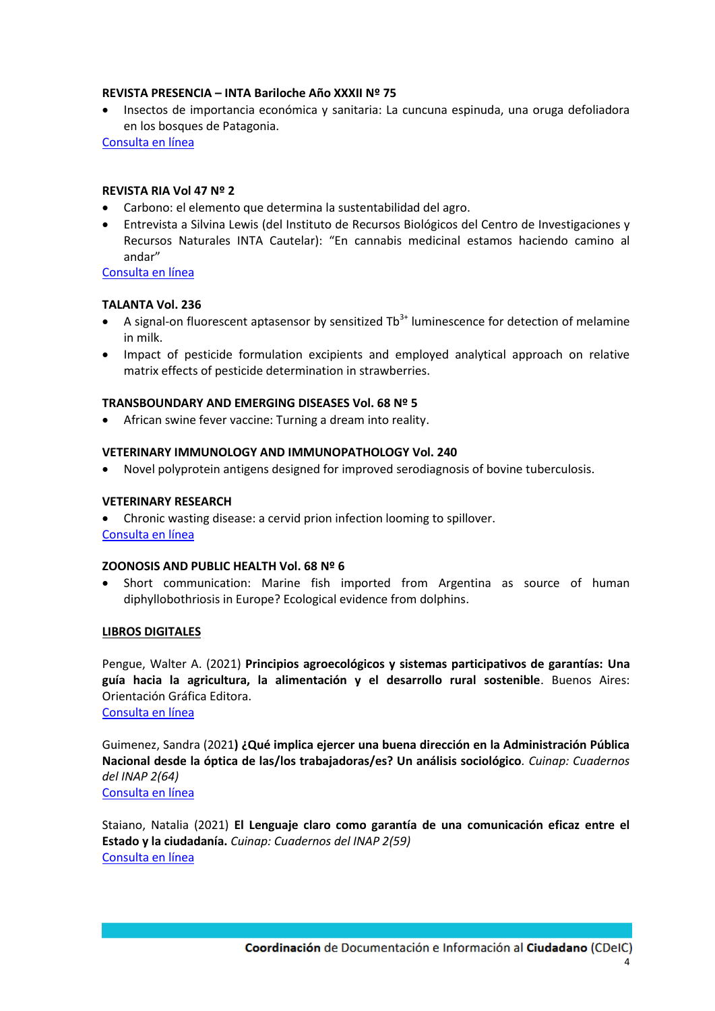#### **REVISTA PRESENCIA – INTA Bariloche Año XXXII Nº 75**

 Insectos de importancia económica y sanitaria: La cuncuna espinuda, una oruga defoliadora en los bosques de Patagonia.

[Consulta en línea](https://inta.gob.ar/sites/default/files/inta_revista_presencia_75.pdf)

# **REVISTA RIA Vol 47 Nº 2**

- Carbono: el elemento que determina la sustentabilidad del agro.
- Entrevista a Silvina Lewis (del Instituto de Recursos Biológicos del Centro de Investigaciones y Recursos Naturales INTA Cautelar): "En cannabis medicinal estamos haciendo camino al andar"

[Consulta en línea](http://ria.inta.gob.ar/sites/default/files/numeros/pubria2021_47n2_agosto_0.pdf)

# **TALANTA Vol. 236**

- A signal-on fluorescent aptasensor by sensitized  $Tb^{3+}$  luminescence for detection of melamine in milk.
- Impact of pesticide formulation excipients and employed analytical approach on relative matrix effects of pesticide determination in strawberries.

# **TRANSBOUNDARY AND EMERGING DISEASES Vol. 68 Nº 5**

African swine fever vaccine: Turning a dream into reality.

# **VETERINARY IMMUNOLOGY AND IMMUNOPATHOLOGY Vol. 240**

Novel polyprotein antigens designed for improved serodiagnosis of bovine tuberculosis.

# **VETERINARY RESEARCH**

 Chronic wasting disease: a cervid prion infection looming to spillover. [Consulta en línea](https://veterinaryresearch.biomedcentral.com/articles/10.1186/s13567-021-00986-y)

#### **ZOONOSIS AND PUBLIC HEALTH Vol. 68 Nº 6**

 Short communication: Marine fish imported from Argentina as source of human diphyllobothriosis in Europe? Ecological evidence from dolphins.

#### **LIBROS DIGITALES**

Pengue, Walter A. (2021) **Principios agroecológicos y sistemas participativos de garantías: Una guía hacia la agricultura, la alimentación y el desarrollo rural sostenible**. Buenos Aires: Orientación Gráfica Editora.

[Consulta en línea](https://www.researchgate.net/publication/353220521_PRINCIPIOS_AGROECOLOGICOS_y_SISTEMAS_PARTICIPATIVOS_DE_GARANTIAS_Una_guia_hacia_la_agricultura_la_alimentacion_y_el_desarrollo_rural_sostenible_-_Coleccion_ECONOMIA_ECOLOGICA)

Guimenez, Sandra (2021**) ¿Qué implica ejercer una buena dirección en la Administración Pública Nacional desde la óptica de las/los trabajadoras/es? Un análisis sociológico***. Cuinap: Cuadernos del INAP 2(64)* [Consulta en línea](https://www.argentina.gob.ar/sites/default/files/2020/05/cuinap_n64_2021.pdf)

Staiano, Natalia (2021) **El Lenguaje claro como garantía de una comunicación eficaz entre el Estado y la ciudadanía.** *Cuinap: Cuadernos del INAP 2(59)* [Consulta en línea](https://publicaciones.inap.gob.ar/index.php/CUINAP/issue/view/97)